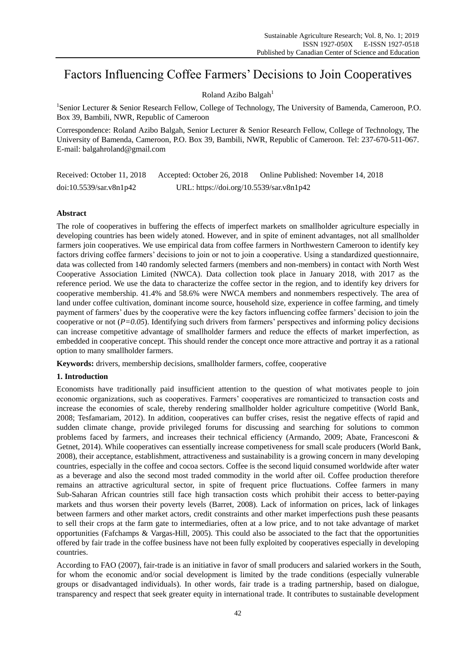# Factors Influencing Coffee Farmers' Decisions to Join Cooperatives

# Roland Azibo Balgah $<sup>1</sup>$ </sup>

<sup>1</sup>Senior Lecturer & Senior Research Fellow, College of Technology, The University of Bamenda, Cameroon, P.O. Box 39, Bambili, NWR, Republic of Cameroon

Correspondence: Roland Azibo Balgah, Senior Lecturer & Senior Research Fellow, College of Technology, The University of Bamenda, Cameroon, P.O. Box 39, Bambili, NWR, Republic of Cameroon. Tel: 237-670-511-067. E-mail: balgahroland@gmail.com

Received: October 11, 2018 Accepted: October 26, 2018 Online Published: November 14, 2018 doi:10.5539/sar.v8n1p42 URL: https://doi.org/10.5539/sar.v8n1p42

## **Abstract**

The role of cooperatives in buffering the effects of imperfect markets on smallholder agriculture especially in developing countries has been widely atoned. However, and in spite of eminent advantages, not all smallholder farmers join cooperatives. We use empirical data from coffee farmers in Northwestern Cameroon to identify key factors driving coffee farmers' decisions to join or not to join a cooperative. Using a standardized questionnaire, data was collected from 140 randomly selected farmers (members and non-members) in contact with North West Cooperative Association Limited (NWCA). Data collection took place in January 2018, with 2017 as the reference period. We use the data to characterize the coffee sector in the region, and to identify key drivers for cooperative membership. 41.4% and 58.6% were NWCA members and nonmembers respectively. The area of land under coffee cultivation, dominant income source, household size, experience in coffee farming, and timely payment of farmers' dues by the cooperative were the key factors influencing coffee farmers' decision to join the cooperative or not (*P=0.05*). Identifying such drivers from farmers' perspectives and informing policy decisions can increase competitive advantage of smallholder farmers and reduce the effects of market imperfection, as embedded in cooperative concept. This should render the concept once more attractive and portray it as a rational option to many smallholder farmers.

**Keywords:** drivers, membership decisions, smallholder farmers, coffee, cooperative

## **1. Introduction**

Economists have traditionally paid insufficient attention to the question of what motivates people to join economic organizations, such as cooperatives. Farmers' cooperatives are romanticized to transaction costs and increase the economies of scale, thereby rendering smallholder holder agriculture competitive (World Bank, 2008; Tesfamariam, 2012). In addition, cooperatives can buffer crises, resist the negative effects of rapid and sudden climate change, provide privileged forums for discussing and searching for solutions to common problems faced by farmers, and increases their technical efficiency (Armando, 2009; Abate, Francesconi & Getnet, 2014). While cooperatives can essentially increase competiveness for small scale producers (World Bank, 2008), their acceptance, establishment, attractiveness and sustainability is a growing concern in many developing countries, especially in the coffee and cocoa sectors. Coffee is the second liquid consumed worldwide after water as a beverage and also the second most traded commodity in the world after oil. Coffee production therefore remains an attractive agricultural sector, in spite of frequent price fluctuations. Coffee farmers in many Sub-Saharan African countries still face high transaction costs which prohibit their access to better-paying markets and thus worsen their poverty levels (Barret, 2008). Lack of information on prices, lack of linkages between farmers and other market actors, credit constraints and other market imperfections push these peasants to sell their crops at the farm gate to intermediaries, often at a low price, and to not take advantage of market opportunities (Fafchamps & Vargas-Hill, 2005). This could also be associated to the fact that the opportunities offered by fair trade in the coffee business have not been fully exploited by cooperatives especially in developing countries.

According to FAO (2007), fair-trade is an initiative in favor of small producers and salaried workers in the South, for whom the economic and/or social development is limited by the trade conditions (especially vulnerable groups or disadvantaged individuals). In other words, fair trade is a trading partnership, based on dialogue, transparency and respect that seek greater equity in international trade. It contributes to sustainable development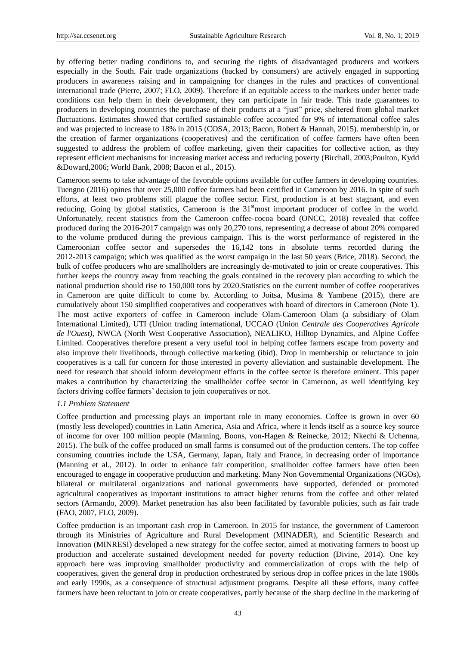by offering better trading conditions to, and securing the rights of disadvantaged producers and workers especially in the South. Fair trade organizations (backed by consumers) are actively engaged in supporting producers in awareness raising and in campaigning for changes in the rules and practices of conventional international trade (Pierre, 2007; FLO, 2009). Therefore if an equitable access to the markets under better trade conditions can help them in their development, they can participate in fair trade. This trade guarantees to producers in developing countries the purchase of their products at a "just" price, sheltered from global market fluctuations. Estimates showed that certified sustainable coffee accounted for 9% of international coffee sales and was projected to increase to 18% in 2015 (COSA, 2013; Bacon, Robert & Hannah, 2015). membership in, or the creation of farmer organizations (cooperatives) and the certification of coffee farmers have often been suggested to address the problem of coffee marketing, given their capacities for collective action, as they represent efficient mechanisms for increasing market access and reducing poverty (Birchall, 2003;Poulton, Kydd &Doward,2006; World Bank, 2008; Bacon et al., 2015).

Cameroon seems to take advantage of the favorable options available for coffee farmers in developing countries. Tuengno (2016) opines that over 25,000 coffee farmers had been certified in Cameroon by 2016. In spite of such efforts, at least two problems still plague the coffee sector. First, production is at best stagnant, and even reducing. Going by global statistics, Cameroon is the 31<sup>st</sup>most important producer of coffee in the world. Unfortunately, recent statistics from the Cameroon coffee-cocoa board (ONCC, 2018) revealed that coffee produced during the 2016-2017 campaign was only 20,270 tons, representing a decrease of about 20% compared to the volume produced during the previous campaign. This is the worst performance of registered in the Cameroonian coffee sector and supersedes the 16,142 tons in absolute terms recorded during the 2012-2013 campaign; which was qualified as the worst campaign in the last 50 years (Brice, 2018). Second, the bulk of coffee producers who are smallholders are increasingly de-motivated to join or create cooperatives. This further keeps the country away from reaching the goals contained in the recovery plan according to which the national production should rise to 150,000 tons by 2020.Statistics on the current number of coffee cooperatives in Cameroon are quite difficult to come by. According to Joitsa, Musima & Yambene (2015), there are cumulatively about 150 simplified cooperatives and cooperatives with board of directors in Cameroon (Note 1). The most active exporters of coffee in Cameroon include Olam-Cameroon Olam (a subsidiary of Olam International Limited), UTI (Union trading international, UCCAO (Union *Centrale des Cooperatives Agricole de l'Ouest)*, NWCA (North West Cooperative Association), NEALIKO, Hilltop Dynamics, and Alpine Coffee Limited. Cooperatives therefore present a very useful tool in helping coffee farmers escape from poverty and also improve their livelihoods, through collective marketing (ibid). Drop in membership or reluctance to join cooperatives is a call for concern for those interested in poverty alleviation and sustainable development. The need for research that should inform development efforts in the coffee sector is therefore eminent. This paper makes a contribution by characterizing the smallholder coffee sector in Cameroon, as well identifying key factors driving coffee farmers' decision to join cooperatives or not.

## *1.1 Problem Statement*

Coffee production and processing plays an important role in many economies. Coffee is grown in over 60 (mostly less developed) countries in Latin America, Asia and Africa, where it lends itself as a source key source of income for over 100 million people (Manning, Boons, von-Hagen & Reinecke, 2012; Nkechi & Uchenna, 2015). The bulk of the coffee produced on small farms is consumed out of the production centers. The top coffee consuming countries include the USA, Germany, Japan, Italy and France, in decreasing order of importance (Manning et al., 2012). In order to enhance fair competition, smallholder coffee farmers have often been encouraged to engage in cooperative production and marketing. Many Non Governmental Organizations (NGOs), bilateral or multilateral organizations and national governments have supported, defended or promoted agricultural cooperatives as important institutions to attract higher returns from the coffee and other related sectors (Armando, 2009). Market penetration has also been facilitated by favorable policies, such as fair trade (FAO, 2007, FLO, 2009).

Coffee production is an important cash crop in Cameroon. In 2015 for instance, the government of Cameroon through its Ministries of Agriculture and Rural Development (MINADER), and Scientific Research and Innovation (MINRESI) developed a new strategy for the coffee sector, aimed at motivating farmers to boost up production and accelerate sustained development needed for poverty reduction (Divine, 2014). One key approach here was improving smallholder productivity and commercialization of crops with the help of cooperatives, given the general drop in production orchestrated by serious drop in coffee prices in the late 1980s and early 1990s, as a consequence of structural adjustment programs. Despite all these efforts, many coffee farmers have been reluctant to join or create cooperatives, partly because of the sharp decline in the marketing of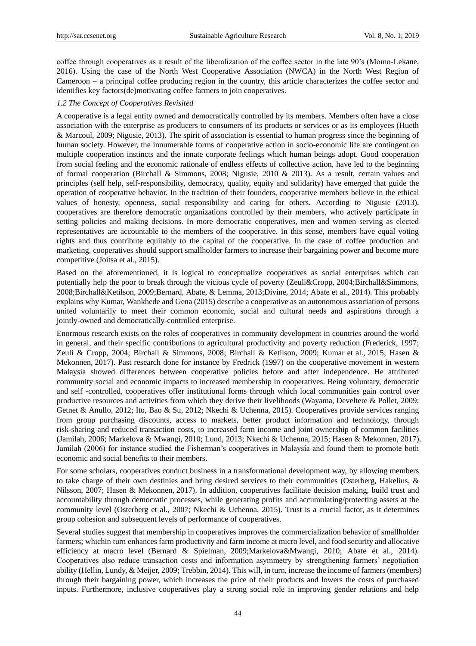coffee through cooperatives as a result of the liberalization of the coffee sector in the late 90's (Momo-Lekane, 2016). Using the case of the North West Cooperative Association (NWCA) in the North West Region of Cameroon – a principal coffee producing region in the country, this article characterizes the coffee sector and identifies key factors(de)motivating coffee farmers to join cooperatives.

## *1.2 The Concept of Cooperatives Revisited*

A cooperative is a legal entity owned and democratically controlled by its members. Members often have a close association with the enterprise as producers to consumers of its products or services or as its employees (Hueth & Marcoul, 2009; Nigusie, 2013). The spirit of association is essential to human progress since the beginning of human society. However, the innumerable forms of cooperative action in socio-economic life are contingent on multiple cooperation instincts and the innate corporate feelings which human beings adopt. Good cooperation from social feeling and the economic rationale of endless effects of collective action, have led to the beginning of formal cooperation (Birchall & Simmons, 2008; Nigusie, 2010 & 2013). As a result, certain values and principles (self help, self-responsibility, democracy, quality, equity and solidarity) have emerged that guide the operation of cooperative behavior. In the tradition of their founders, cooperative members believe in the ethical values of honesty, openness, social responsibility and caring for others. According to Nigusie (2013), cooperatives are therefore democratic organizations controlled by their members, who actively participate in setting policies and making decisions. In more democratic cooperatives, men and women serving as elected representatives are accountable to the members of the cooperative. In this sense, members have equal voting rights and thus contribute equitably to the capital of the cooperative. In the case of coffee production and marketing, cooperatives should support smallholder farmers to increase their bargaining power and become more competitive (Joitsa et al., 2015).

Based on the aforementioned, it is logical to conceptualize cooperatives as social enterprises which can potentially help the poor to break through the vicious cycle of poverty (Zeuli&Cropp, 2004;Birchall&Simmons, 2008;Birchall&Ketilson, 2009;Bernard, Abate, & Lemma, 2013;Divine, 2014; Abate et al., 2014). This probably explains why Kumar, Wankhede and Gena (2015) describe a cooperative as an autonomous association of persons united voluntarily to meet their common economic, social and cultural needs and aspirations through a jointly-owned and democratically-controlled enterprise.

Enormous research exists on the roles of cooperatives in community development in countries around the world in general, and their specific contributions to agricultural productivity and poverty reduction (Frederick, 1997; Zeuli & Cropp, 2004; Birchall & Simmons, 2008; Birchall & Ketilson, 2009; Kumar et al., 2015; Hasen & Mekonnen, 2017). Past research done for instance by Fredrick (1997) on the cooperative movement in western Malaysia showed differences between cooperative policies before and after independence. He attributed community social and economic impacts to increased membership in cooperatives. Being voluntary, democratic and self -controlled, cooperatives offer institutional forms through which local communities gain control over productive resources and activities from which they derive their livelihoods (Wayama, Develtere & Pollet, 2009; Getnet & Anullo, 2012; Ito, Bao & Su, 2012; Nkechi & Uchenna, 2015). Cooperatives provide services ranging from group purchasing discounts, access to markets, better product information and technology, through risk-sharing and reduced transaction costs, to increased farm income and joint ownership of common facilities (Jamilah, 2006; Markelova & Mwangi, 2010; Lund, 2013; Nkechi & Uchenna, 2015; Hasen & Mekonnen, 2017). Jamilah (2006) for instance studied the Fisherman's cooperatives in Malaysia and found them to promote both economic and social benefits to their members.

For some scholars, cooperatives conduct business in a transformational development way, by allowing members to take charge of their own destinies and bring desired services to their communities (Osterberg, Hakelius, & Nilsson, 2007; Hasen & Mekonnen, 2017). In addition, cooperatives facilitate decision making, build trust and accountability through democratic processes, while generating profits and accumulating/protecting assets at the community level (Osterberg et al., 2007; Nkechi & Uchenna, 2015). Trust is a crucial factor, as it determines group cohesion and subsequent levels of performance of cooperatives.

Several studies suggest that membership in cooperatives improves the commercialization behavior of smallholder farmers; whichin turn enhances farm productivity and farm income at micro level, and food security and allocative efficiency at macro level (Bernard & Spielman, 2009;Markelova&Mwangi, 2010; Abate et al., 2014). Cooperatives also reduce transaction costs and information asymmetry by strengthening farmers' negotiation ability (Hellin, Lundy, & Meijer, 2009; Trebbin, 2014). This will, in turn, increase the income of farmers (members) through their bargaining power, which increases the price of their products and lowers the costs of purchased inputs. Furthermore, inclusive cooperatives play a strong social role in improving gender relations and help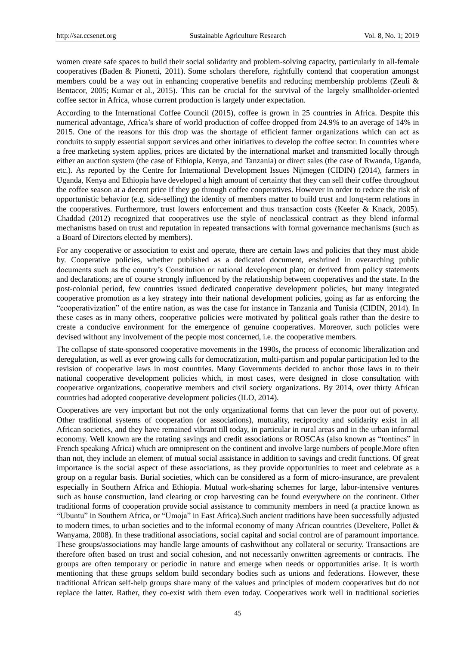women create safe spaces to build their social solidarity and problem-solving capacity, particularly in all-female cooperatives (Baden & Pionetti, 2011). Some scholars therefore, rightfully contend that cooperation amongst members could be a way out in enhancing cooperative benefits and reducing membership problems (Zeuli & Bentacor, 2005; Kumar et al., 2015). This can be crucial for the survival of the largely smallholder-oriented coffee sector in Africa, whose current production is largely under expectation.

According to the International Coffee Council (2015), coffee is grown in 25 countries in Africa. Despite this numerical advantage, Africa's share of world production of coffee dropped from 24.9% to an average of 14% in 2015. One of the reasons for this drop was the shortage of efficient farmer organizations which can act as conduits to supply essential support services and other initiatives to develop the coffee sector. In countries where a free marketing system applies, prices are dictated by the international market and transmitted locally through either an auction system (the case of Ethiopia, Kenya, and Tanzania) or direct sales (the case of Rwanda, Uganda, etc.). As reported by the Centre for International Development Issues Nijmegen (CIDIN) (2014), farmers in Uganda, Kenya and Ethiopia have developed a high amount of certainty that they can sell their coffee throughout the coffee season at a decent price if they go through coffee cooperatives. However in order to reduce the risk of opportunistic behavior (e.g. side-selling) the identity of members matter to build trust and long-term relations in the cooperatives. Furthermore, trust lowers enforcement and thus transaction costs (Keefer & Knack, 2005). Chaddad (2012) recognized that cooperatives use the style of neoclassical contract as they blend informal mechanisms based on trust and reputation in repeated transactions with formal governance mechanisms (such as a Board of Directors elected by members).

For any cooperative or association to exist and operate, there are certain laws and policies that they must abide by. Cooperative policies, whether published as a dedicated document, enshrined in overarching public documents such as the country's Constitution or national development plan; or derived from policy statements and declarations; are of course strongly influenced by the relationship between cooperatives and the state. In the post-colonial period, few countries issued dedicated cooperative development policies, but many integrated cooperative promotion as a key strategy into their national development policies, going as far as enforcing the ―cooperativization‖ of the entire nation, as was the case for instance in Tanzania and Tunisia (CIDIN, 2014). In these cases as in many others, cooperative policies were motivated by political goals rather than the desire to create a conducive environment for the emergence of genuine cooperatives. Moreover, such policies were devised without any involvement of the people most concerned, i.e. the cooperative members.

The collapse of state-sponsored cooperative movements in the 1990s, the process of economic liberalization and deregulation, as well as ever growing calls for democratization, multi-partism and popular participation led to the revision of cooperative laws in most countries. Many Governments decided to anchor those laws in to their national cooperative development policies which, in most cases, were designed in close consultation with cooperative organizations, cooperative members and civil society organizations. By 2014, over thirty African countries had adopted cooperative development policies (ILO, 2014).

Cooperatives are very important but not the only organizational forms that can lever the poor out of poverty. Other traditional systems of cooperation (or associations), mutuality, reciprocity and solidarity exist in all African societies, and they have remained vibrant till today, in particular in rural areas and in the urban informal economy. Well known are the rotating savings and credit associations or ROSCAs (also known as "tontines" in French speaking Africa) which are omnipresent on the continent and involve large numbers of people.More often than not, they include an element of mutual social assistance in addition to savings and credit functions. Of great importance is the social aspect of these associations, as they provide opportunities to meet and celebrate as a group on a regular basis. Burial societies, which can be considered as a form of micro-insurance, are prevalent especially in Southern Africa and Ethiopia. Mutual work-sharing schemes for large, labor-intensive ventures such as house construction, land clearing or crop harvesting can be found everywhere on the continent. Other traditional forms of cooperation provide social assistance to community members in need (a practice known as ―Ubuntu‖ in Southern Africa, or ―Umoja‖ in East Africa).Such ancient traditions have been successfully adjusted to modern times, to urban societies and to the informal economy of many African countries (Develtere, Pollet & Wanyama, 2008). In these traditional associations, social capital and social control are of paramount importance. These groups/associations may handle large amounts of cashwithout any collateral or security. Transactions are therefore often based on trust and social cohesion, and not necessarily onwritten agreements or contracts. The groups are often temporary or periodic in nature and emerge when needs or opportunities arise. It is worth mentioning that these groups seldom build secondary bodies such as unions and federations. However, these traditional African self-help groups share many of the values and principles of modern cooperatives but do not replace the latter. Rather, they co-exist with them even today. Cooperatives work well in traditional societies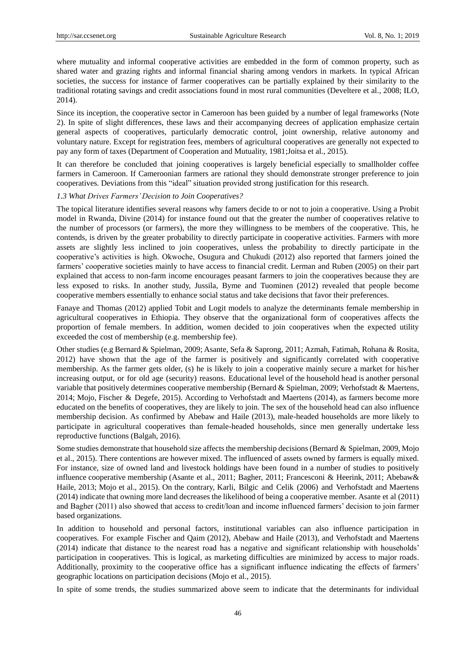where mutuality and informal cooperative activities are embedded in the form of common property, such as shared water and grazing rights and informal financial sharing among vendors in markets. In typical African societies, the success for instance of farmer cooperatives can be partially explained by their similarity to the traditional rotating savings and credit associations found in most rural communities (Develtere et al., 2008; ILO, 2014).

Since its inception, the cooperative sector in Cameroon has been guided by a number of legal frameworks (Note 2). In spite of slight differences, these laws and their accompanying decrees of application emphasize certain general aspects of cooperatives, particularly democratic control, joint ownership, relative autonomy and voluntary nature. Except for registration fees, members of agricultural cooperatives are generally not expected to pay any form of taxes (Department of Cooperation and Mutuality, 1981;Joitsa et al., 2015).

It can therefore be concluded that joining cooperatives is largely beneficial especially to smallholder coffee farmers in Cameroon. If Cameroonian farmers are rational they should demonstrate stronger preference to join cooperatives. Deviations from this "ideal" situation provided strong justification for this research.

## *1.3 What Drives Farmers' Decision to Join Cooperatives?*

The topical literature identifies several reasons why famers decide to or not to join a cooperative. Using a Probit model in Rwanda, Divine (2014) for instance found out that the greater the number of cooperatives relative to the number of processors (or farmers), the more they willingness to be members of the cooperative. This, he contends, is driven by the greater probability to directly participate in cooperative activities. Farmers with more assets are slightly less inclined to join cooperatives, unless the probability to directly participate in the cooperative's activities is high. Okwoche, Osugura and Chukudi (2012) also reported that farmers joined the farmers' cooperative societies mainly to have access to financial credit. Lerman and Ruben (2005) on their part explained that access to non-farm income encourages peasant farmers to join the cooperatives because they are less exposed to risks. In another study, Jussila, Byme and Tuominen (2012) revealed that people become cooperative members essentially to enhance social status and take decisions that favor their preferences.

Fanaye and Thomas (2012) applied Tobit and Logit models to analyze the determinants female membership in agricultural cooperatives in Ethiopia. They observe that the organizational form of cooperatives affects the proportion of female members. In addition, women decided to join cooperatives when the expected utility exceeded the cost of membership (e.g. membership fee).

Other studies (e.g Bernard & Spielman, 2009; Asante, Sefa & Saprong, 2011; Azmah, Fatimah, Rohana & Rosita, 2012) have shown that the age of the farmer is positively and significantly correlated with cooperative membership. As the farmer gets older, (s) he is likely to join a cooperative mainly secure a market for his/her increasing output, or for old age (security) reasons. Educational level of the household head is another personal variable that positively determines cooperative membership (Bernard & Spielman, 2009; Verhofstadt & Maertens, 2014; Mojo, Fischer & Degefe, 2015). According to Verhofstadt and Maertens (2014), as farmers become more educated on the benefits of cooperatives, they are likely to join. The sex of the household head can also influence membership decision. As confirmed by Abebaw and Haile (2013), male-headed households are more likely to participate in agricultural cooperatives than female-headed households, since men generally undertake less reproductive functions (Balgah, 2016).

Some studies demonstrate that household size affects the membership decisions (Bernard & Spielman, 2009, Mojo et al., 2015). There contentions are however mixed. The influenced of assets owned by farmers is equally mixed. For instance, size of owned land and livestock holdings have been found in a number of studies to positively influence cooperative membership (Asante et al., 2011; Bagher, 2011; Francesconi & Heerink, 2011; Abebaw& Haile, 2013; Mojo et al., 2015). On the contrary, Karli, Bilgic and Celik (2006) and Verhofstadt and Maertens (2014) indicate that owning more land decreases the likelihood of being a cooperative member. Asante et al (2011) and Bagher (2011) also showed that access to credit/loan and income influenced farmers' decision to join farmer based organizations.

In addition to household and personal factors, institutional variables can also influence participation in cooperatives. For example Fischer and Qaim (2012), Abebaw and Haile (2013), and Verhofstadt and Maertens (2014) indicate that distance to the nearest road has a negative and significant relationship with households' participation in cooperatives. This is logical, as marketing difficulties are minimized by access to major roads. Additionally, proximity to the cooperative office has a significant influence indicating the effects of farmers' geographic locations on participation decisions (Mojo et al., 2015).

In spite of some trends, the studies summarized above seem to indicate that the determinants for individual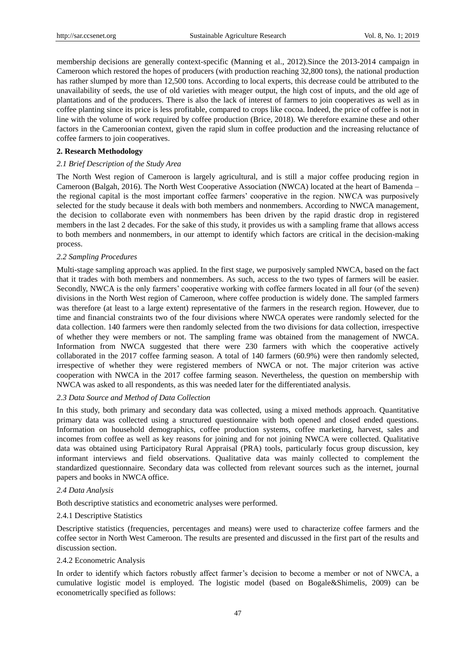membership decisions are generally context-specific (Manning et al., 2012).Since the 2013-2014 campaign in Cameroon which restored the hopes of producers (with production reaching 32,800 tons), the national production has rather slumped by more than 12,500 tons. According to local experts, this decrease could be attributed to the unavailability of seeds, the use of old varieties with meager output, the high cost of inputs, and the old age of plantations and of the producers. There is also the lack of interest of farmers to join cooperatives as well as in coffee planting since its price is less profitable, compared to crops like cocoa. Indeed, the price of coffee is not in line with the volume of work required by coffee production (Brice, 2018). We therefore examine these and other factors in the Cameroonian context, given the rapid slum in coffee production and the increasing reluctance of coffee farmers to join cooperatives.

## **2. Research Methodology**

## *2.1 Brief Description of the Study Area*

The North West region of Cameroon is largely agricultural, and is still a major coffee producing region in Cameroon (Balgah, 2016). The North West Cooperative Association (NWCA) located at the heart of Bamenda – the regional capital is the most important coffee farmers' cooperative in the region. NWCA was purposively selected for the study because it deals with both members and nonmembers. According to NWCA management, the decision to collaborate even with nonmembers has been driven by the rapid drastic drop in registered members in the last 2 decades. For the sake of this study, it provides us with a sampling frame that allows access to both members and nonmembers, in our attempt to identify which factors are critical in the decision-making process.

## *2.2 Sampling Procedures*

Multi-stage sampling approach was applied. In the first stage, we purposively sampled NWCA, based on the fact that it trades with both members and nonmembers. As such, access to the two types of farmers will be easier. Secondly, NWCA is the only farmers' cooperative working with coffee farmers located in all four (of the seven) divisions in the North West region of Cameroon, where coffee production is widely done. The sampled farmers was therefore (at least to a large extent) representative of the farmers in the research region. However, due to time and financial constraints two of the four divisions where NWCA operates were randomly selected for the data collection. 140 farmers were then randomly selected from the two divisions for data collection, irrespective of whether they were members or not. The sampling frame was obtained from the management of NWCA. Information from NWCA suggested that there were 230 farmers with which the cooperative actively collaborated in the 2017 coffee farming season. A total of 140 farmers (60.9%) were then randomly selected, irrespective of whether they were registered members of NWCA or not. The major criterion was active cooperation with NWCA in the 2017 coffee farming season. Nevertheless, the question on membership with NWCA was asked to all respondents, as this was needed later for the differentiated analysis.

## *2.3 Data Source and Method of Data Collection*

In this study, both primary and secondary data was collected, using a mixed methods approach. Quantitative primary data was collected using a structured questionnaire with both opened and closed ended questions. Information on household demographics, coffee production systems, coffee marketing, harvest, sales and incomes from coffee as well as key reasons for joining and for not joining NWCA were collected. Qualitative data was obtained using Participatory Rural Appraisal (PRA) tools, particularly focus group discussion, key informant interviews and field observations. Qualitative data was mainly collected to complement the standardized questionnaire. Secondary data was collected from relevant sources such as the internet, journal papers and books in NWCA office.

## *2.4 Data Analysis*

Both descriptive statistics and econometric analyses were performed.

## 2.4.1 Descriptive Statistics

Descriptive statistics (frequencies, percentages and means) were used to characterize coffee farmers and the coffee sector in North West Cameroon. The results are presented and discussed in the first part of the results and discussion section.

## 2.4.2 Econometric Analysis

In order to identify which factors robustly affect farmer's decision to become a member or not of NWCA, a cumulative logistic model is employed. The logistic model (based on Bogale&Shimelis, 2009) can be econometrically specified as follows: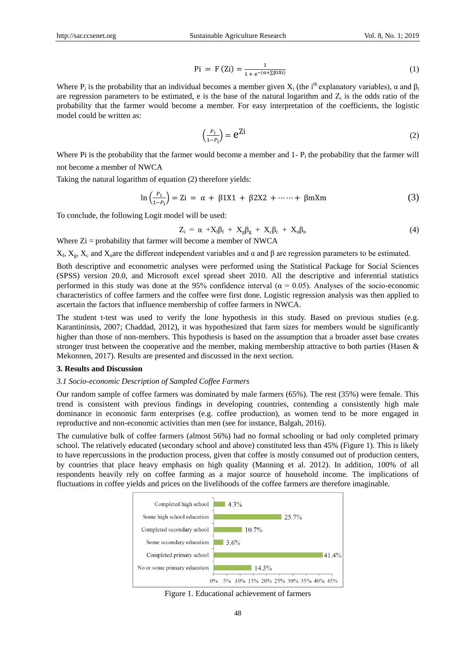$$
\text{Pi} = \text{F (Zi)} = \frac{1}{1 + e^{-(\alpha + \sum \beta i X i)}} \tag{1}
$$

Where  $P_i$  is the probability that an individual becomes a member given  $X_i$  (the i<sup>th</sup> explanatory variables),  $\alpha$  and  $\beta_i$ are regression parameters to be estimated, e is the base of the natural logarithm and  $Z_i$  is the odds ratio of the probability that the farmer would become a member. For easy interpretation of the coefficients, the logistic model could be written as:

$$
\left(\frac{P_i}{1 - P_i}\right) = e^{Zi} \tag{2}
$$

Where Pi is the probability that the farmer would become a member and  $1 - P_i$  the probability that the farmer will not become a member of NWCA

Taking the natural logarithm of equation (2) therefore yields:

$$
\ln\left(\frac{P_i}{1 - P_i}\right) = \text{Zi} = \alpha + \beta 1 \text{X1} + \beta 2 \text{X2} + \dots + \beta \text{mXm} \tag{3}
$$

To conclude, the following Logit model will be used:

$$
Z_i = \alpha + X_f \beta_f + X_g \beta_g + X_c \beta_c + X_n \beta_n
$$
\n(4)

Where  $Z_i$  = probability that farmer will become a member of NWCA

 $X_f$ ,  $X_g$ ,  $X_c$  and  $X_n$  are the different independent variables and  $\alpha$  and  $\beta$  are regression parameters to be estimated.

Both descriptive and econometric analyses were performed using the Statistical Package for Social Sciences (SPSS) version 20.0, and Microsoft excel spread sheet 2010. All the descriptive and inferential statistics performed in this study was done at the 95% confidence interval ( $\alpha$  = 0.05). Analyses of the socio-economic characteristics of coffee farmers and the coffee were first done. Logistic regression analysis was then applied to ascertain the factors that influence membership of coffee farmers in NWCA.

The student t-test was used to verify the lone hypothesis in this study. Based on previous studies (e.g. Karantininsis, 2007; Chaddad, 2012), it was hypothesized that farm sizes for members would be significantly higher than those of non-members. This hypothesis is based on the assumption that a broader asset base creates stronger trust between the cooperative and the member, making membership attractive to both parties (Hasen & Mekonnen, 2017). Results are presented and discussed in the next section.

## **3. Results and Discussion**

## *3.1 Socio-economic Description of Sampled Coffee Farmers*

Our random sample of coffee farmers was dominated by male farmers (65%). The rest (35%) were female. This trend is consistent with previous findings in developing countries, contending a consistently high male dominance in economic farm enterprises (e.g. coffee production), as women tend to be more engaged in reproductive and non-economic activities than men (see for instance, Balgah, 2016).

The cumulative bulk of coffee farmers (almost 56%) had no formal schooling or had only completed primary school. The relatively educated (secondary school and above) constituted less than 45% (Figure 1). This is likely to have repercussions in the production process, given that coffee is mostly consumed out of production centers, by countries that place heavy emphasis on high quality (Manning et al. 2012). In addition, 100% of all respondents heavily rely on coffee farming as a major source of household income. The implications of fluctuations in coffee yields and prices on the livelihoods of the coffee farmers are therefore imaginable.



Figure 1. Educational achievement of farmers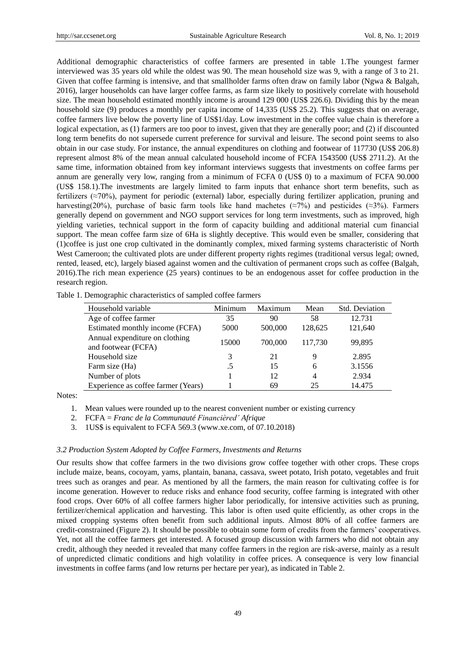Additional demographic characteristics of coffee farmers are presented in table 1.The youngest farmer interviewed was 35 years old while the oldest was 90. The mean household size was 9, with a range of 3 to 21. Given that coffee farming is intensive, and that smallholder farms often draw on family labor (Ngwa & Balgah, 2016), larger households can have larger coffee farms, as farm size likely to positively correlate with household size. The mean household estimated monthly income is around 129 000 (US\$ 226.6). Dividing this by the mean household size (9) produces a monthly per capita income of 14,335 (US\$ 25.2). This suggests that on average, coffee farmers live below the poverty line of US\$1/day. Low investment in the coffee value chain is therefore a logical expectation, as (1) farmers are too poor to invest, given that they are generally poor; and (2) if discounted long term benefits do not supersede current preference for survival and leisure. The second point seems to also obtain in our case study. For instance, the annual expenditures on clothing and footwear of 117730 (US\$ 206.8) represent almost 8% of the mean annual calculated household income of FCFA 1543500 (US\$ 2711.2). At the same time, information obtained from key informant interviews suggests that investments on coffee farms per annum are generally very low, ranging from a minimum of FCFA 0 (US\$ 0) to a maximum of FCFA 90.000 (US\$ 158.1).The investments are largely limited to farm inputs that enhance short term benefits, such as fertilizers (≈70%), payment for periodic (external) labor, especially during fertilizer application, pruning and harvesting(20%), purchase of basic farm tools like hand machetes (≈7%) and pesticides (≈3%). Farmers generally depend on government and NGO support services for long term investments, such as improved, high yielding varieties, technical support in the form of capacity building and additional material cum financial support. The mean coffee farm size of 6Ha is slightly deceptive. This would even be smaller, considering that (1)coffee is just one crop cultivated in the dominantly complex, mixed farming systems characteristic of North West Cameroon; the cultivated plots are under different property rights regimes (traditional versus legal; owned, rented, leased, etc), largely biased against women and the cultivation of permanent crops such as coffee (Balgah, 2016).The rich mean experience (25 years) continues to be an endogenous asset for coffee production in the research region.

| 1. Demographic characteristics of sampled correct familiers |         |         |         |                |  |  |  |  |
|-------------------------------------------------------------|---------|---------|---------|----------------|--|--|--|--|
| Household variable                                          | Minimum | Maximum | Mean    | Std. Deviation |  |  |  |  |
| Age of coffee farmer                                        | 35      | 90      | 58      | 12.731         |  |  |  |  |
| Estimated monthly income (FCFA)                             | 5000    | 500,000 | 128,625 | 121,640        |  |  |  |  |
| Annual expenditure on clothing<br>and footwear (FCFA)       | 15000   | 700,000 | 117,730 | 99,895         |  |  |  |  |
| Household size                                              | 3       | 21      | 9       | 2.895          |  |  |  |  |
| Farm size (Ha)                                              | .5      | 15      | 6       | 3.1556         |  |  |  |  |
| Number of plots                                             |         | 12      | 4       | 2.934          |  |  |  |  |
| Experience as coffee farmer (Years)                         |         | 69      | 25      | 14.475         |  |  |  |  |

Table 1. Demographic characteristics of sampled coffee farmers

Notes:

1. Mean values were rounded up to the nearest convenient number or existing currency

2. FCFA = *Franc de la CommunautéFinancièred' Afrique*

3. 1US\$ is equivalent to FCFA 569.3 (www.xe.com, of 07.10.2018)

#### *3.2 Production System Adopted by Coffee Farmers, Investments and Returns*

Our results show that coffee farmers in the two divisions grow coffee together with other crops. These crops include maize, beans, cocoyam, yams, plantain, banana, cassava, sweet potato, Irish potato, vegetables and fruit trees such as oranges and pear. As mentioned by all the farmers, the main reason for cultivating coffee is for income generation. However to reduce risks and enhance food security, coffee farming is integrated with other food crops. Over 60% of all coffee farmers higher labor periodically, for intensive activities such as pruning, fertilizer/chemical application and harvesting. This labor is often used quite efficiently, as other crops in the mixed cropping systems often benefit from such additional inputs. Almost 80% of all coffee farmers are credit-constrained (Figure 2). It should be possible to obtain some form of credits from the farmers' cooperatives. Yet, not all the coffee farmers get interested. A focused group discussion with farmers who did not obtain any credit, although they needed it revealed that many coffee farmers in the region are risk-averse, mainly as a result of unpredicted climatic conditions and high volatility in coffee prices. A consequence is very low financial investments in coffee farms (and low returns per hectare per year), as indicated in Table 2.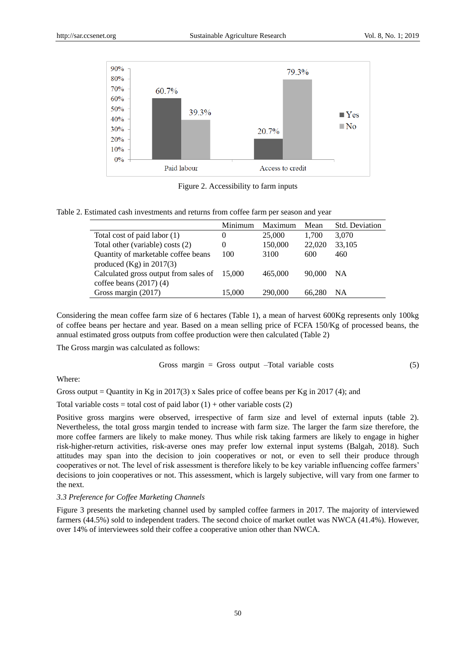

Figure 2. Accessibility to farm inputs

|                                              | Minimum  | Maximum | Mean   | <b>Std. Deviation</b> |
|----------------------------------------------|----------|---------|--------|-----------------------|
| Total cost of paid labor (1)                 | $\theta$ | 25,000  | 1,700  | 3,070                 |
| Total other (variable) costs (2)             | $\theta$ | 150,000 | 22,020 | 33,105                |
| Quantity of marketable coffee beans          | 100      | 3100    | 600    | 460                   |
| produced $(Kg)$ in 2017(3)                   |          |         |        |                       |
| Calculated gross output from sales of 15,000 |          | 465,000 | 90,000 | NA.                   |
| coffee beans $(2017)(4)$                     |          |         |        |                       |
| Gross margin (2017)                          | 15.000   | 290,000 | 66.280 | NΑ                    |

Considering the mean coffee farm size of 6 hectares (Table 1), a mean of harvest 600Kg represents only 100kg of coffee beans per hectare and year. Based on a mean selling price of FCFA 150/Kg of processed beans, the annual estimated gross outputs from coffee production were then calculated (Table 2)

The Gross margin was calculated as follows:

$$
Gross margin = Gross output -Total variable costs \tag{5}
$$

Where:

Gross output = Quantity in Kg in 2017(3) x Sales price of coffee beans per Kg in 2017 (4); and

Total variable costs = total cost of paid labor  $(1)$  + other variable costs  $(2)$ 

Positive gross margins were observed, irrespective of farm size and level of external inputs (table 2). Nevertheless, the total gross margin tended to increase with farm size. The larger the farm size therefore, the more coffee farmers are likely to make money. Thus while risk taking farmers are likely to engage in higher risk-higher-return activities, risk-averse ones may prefer low external input systems (Balgah, 2018). Such attitudes may span into the decision to join cooperatives or not, or even to sell their produce through cooperatives or not. The level of risk assessment is therefore likely to be key variable influencing coffee farmers' decisions to join cooperatives or not. This assessment, which is largely subjective, will vary from one farmer to the next.

#### *3.3 Preference for Coffee Marketing Channels*

Figure 3 presents the marketing channel used by sampled coffee farmers in 2017. The majority of interviewed farmers (44.5%) sold to independent traders. The second choice of market outlet was NWCA (41.4%). However, over 14% of interviewees sold their coffee a cooperative union other than NWCA.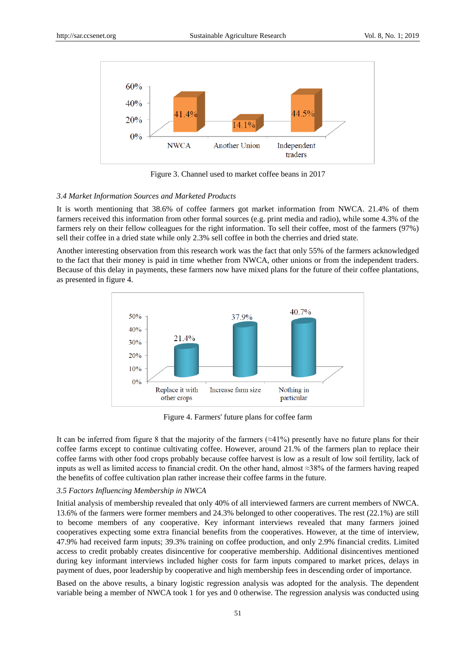

Figure 3. Channel used to market coffee beans in 2017

## *3.4 Market Information Sources and Marketed Products*

It is worth mentioning that 38.6% of coffee farmers got market information from NWCA. 21.4% of them farmers received this information from other formal sources (e.g. print media and radio), while some 4.3% of the farmers rely on their fellow colleagues for the right information. To sell their coffee, most of the farmers (97%) sell their coffee in a dried state while only 2.3% sell coffee in both the cherries and dried state.

Another interesting observation from this research work was the fact that only 55% of the farmers acknowledged to the fact that their money is paid in time whether from NWCA, other unions or from the independent traders. Because of this delay in payments, these farmers now have mixed plans for the future of their coffee plantations, as presented in figure 4.



Figure 4. Farmers' future plans for coffee farm

It can be inferred from figure 8 that the majority of the farmers ( $\approx$ 41%) presently have no future plans for their coffee farms except to continue cultivating coffee. However, around 21.% of the farmers plan to replace their coffee farms with other food crops probably because coffee harvest is low as a result of low soil fertility, lack of inputs as well as limited access to financial credit. On the other hand, almost ≈38% of the farmers having reaped the benefits of coffee cultivation plan rather increase their coffee farms in the future.

## *3.5 Factors Influencing Membership in NWCA*

Initial analysis of membership revealed that only 40% of all interviewed farmers are current members of NWCA. 13.6% of the farmers were former members and 24.3% belonged to other cooperatives. The rest (22.1%) are still to become members of any cooperative. Key informant interviews revealed that many farmers joined cooperatives expecting some extra financial benefits from the cooperatives. However, at the time of interview, 47.9% had received farm inputs; 39.3% training on coffee production, and only 2.9% financial credits. Limited access to credit probably creates disincentive for cooperative membership. Additional disincentives mentioned during key informant interviews included higher costs for farm inputs compared to market prices, delays in payment of dues, poor leadership by cooperative and high membership fees in descending order of importance.

Based on the above results, a binary logistic regression analysis was adopted for the analysis. The dependent variable being a member of NWCA took 1 for yes and 0 otherwise. The regression analysis was conducted using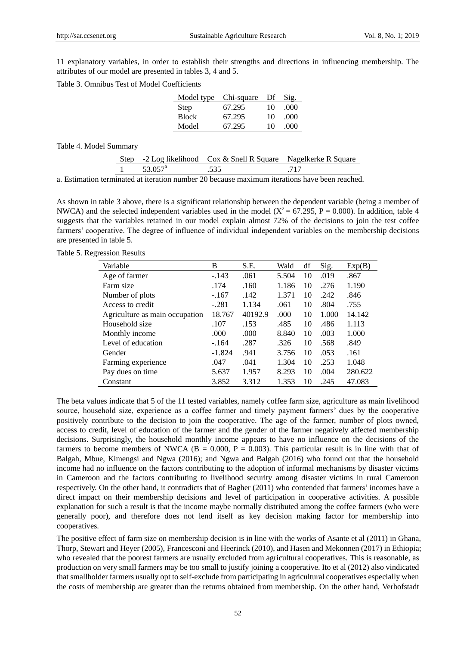11 explanatory variables, in order to establish their strengths and directions in influencing membership. The attributes of our model are presented in tables 3, 4 and 5.

Table 3. Omnibus Test of Model Coefficients

|              | Model type Chi-square Df |    | Sig.  |
|--------------|--------------------------|----|-------|
| Step         | 67.295                   | 10 | (000) |
| <b>Block</b> | 67.295                   | 10 | (000) |
| Model        | 67.295                   | 10 | 000   |

Table 4. Model Summary

|                     | Step -2 Log likelihood Cox & Snell R Square Nagelkerke R Square |  |
|---------------------|-----------------------------------------------------------------|--|
| 53.057 <sup>a</sup> |                                                                 |  |

a. Estimation terminated at iteration number 20 because maximum iterations have been reached.

As shown in table 3 above, there is a significant relationship between the dependent variable (being a member of NWCA) and the selected independent variables used in the model ( $X^2 = 67.295$ , P = 0.000). In addition, table 4 suggests that the variables retained in our model explain almost 72% of the decisions to join the test coffee farmers' cooperative. The degree of influence of individual independent variables on the membership decisions are presented in table 5.

Table 5. Regression Results

| Variable                       | B        | S.E.    | Wald  | df | Sig.  | Exp(B)  |
|--------------------------------|----------|---------|-------|----|-------|---------|
| Age of farmer                  | $-.143$  | .061    | 5.504 | 10 | .019  | .867    |
| Farm size                      | .174     | .160    | 1.186 | 10 | .276  | 1.190   |
| Number of plots                | $-.167$  | .142    | 1.371 | 10 | .242  | .846    |
| Access to credit               | $-.281$  | 1.134   | .061  | 10 | .804  | .755    |
| Agriculture as main occupation | 18.767   | 40192.9 | .000. | 10 | 1.000 | 14.142  |
| Household size                 | .107     | .153    | .485  | 10 | .486  | 1.113   |
| Monthly income                 | .000     | .000    | 8.840 | 10 | .003  | 1.000   |
| Level of education             | $-164$   | .287    | .326  | 10 | .568  | .849    |
| Gender                         | $-1.824$ | .941    | 3.756 | 10 | .053  | .161    |
| Farming experience             | .047     | .041    | 1.304 | 10 | .253  | 1.048   |
| Pay dues on time               | 5.637    | 1.957   | 8.293 | 10 | .004  | 280.622 |
| Constant                       | 3.852    | 3.312   | 1.353 | 10 | .245  | 47.083  |

The beta values indicate that 5 of the 11 tested variables, namely coffee farm size, agriculture as main livelihood source, household size, experience as a coffee farmer and timely payment farmers' dues by the cooperative positively contribute to the decision to join the cooperative. The age of the farmer, number of plots owned, access to credit, level of education of the farmer and the gender of the farmer negatively affected membership decisions. Surprisingly, the household monthly income appears to have no influence on the decisions of the farmers to become members of NWCA ( $B = 0.000$ ,  $P = 0.003$ ). This particular result is in line with that of Balgah, Mbue, Kimengsi and Ngwa (2016); and Ngwa and Balgah (2016) who found out that the household income had no influence on the factors contributing to the adoption of informal mechanisms by disaster victims in Cameroon and the factors contributing to livelihood security among disaster victims in rural Cameroon respectively. On the other hand, it contradicts that of Bagher (2011) who contended that farmers' incomes have a direct impact on their membership decisions and level of participation in cooperative activities. A possible explanation for such a result is that the income maybe normally distributed among the coffee farmers (who were generally poor), and therefore does not lend itself as key decision making factor for membership into cooperatives.

The positive effect of farm size on membership decision is in line with the works of Asante et al (2011) in Ghana, Thorp, Stewart and Heyer (2005), Francesconi and Heerinck (2010), and Hasen and Mekonnen (2017) in Ethiopia; who revealed that the poorest farmers are usually excluded from agricultural cooperatives. This is reasonable, as production on very small farmers may be too small to justify joining a cooperative. Ito et al (2012) also vindicated that smallholder farmers usually opt to self-exclude from participating in agricultural cooperatives especially when the costs of membership are greater than the returns obtained from membership. On the other hand, Verhofstadt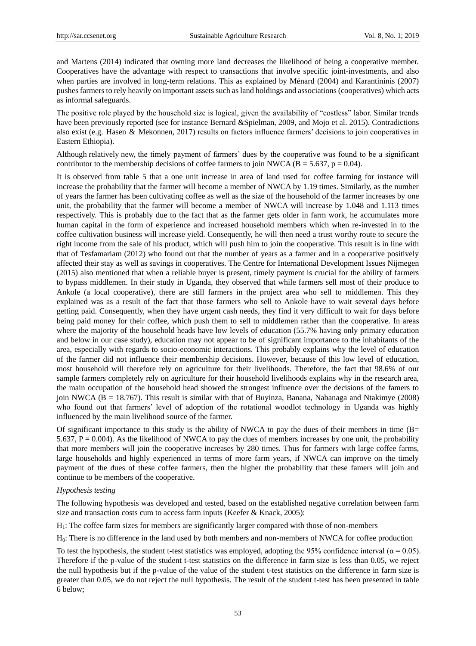and Martens (2014) indicated that owning more land decreases the likelihood of being a cooperative member. Cooperatives have the advantage with respect to transactions that involve specific joint-investments, and also when parties are involved in long-term relations. This as explained by Ménard (2004) and Karantininis (2007) pushes farmers to rely heavily on important assets such as land holdings and associations (cooperatives) which acts as informal safeguards.

The positive role played by the household size is logical, given the availability of "costless" labor. Similar trends have been previously reported (see for instance Bernard &Spielman, 2009, and Mojo et al. 2015). Contradictions also exist (e.g. Hasen & Mekonnen, 2017) results on factors influence farmers' decisions to join cooperatives in Eastern Ethiopia).

Although relatively new, the timely payment of farmers' dues by the cooperative was found to be a significant contributor to the membership decisions of coffee farmers to join NWCA ( $B = 5.637$ ,  $p = 0.04$ ).

It is observed from table 5 that a one unit increase in area of land used for coffee farming for instance will increase the probability that the farmer will become a member of NWCA by 1.19 times. Similarly, as the number of years the farmer has been cultivating coffee as well as the size of the household of the farmer increases by one unit, the probability that the farmer will become a member of NWCA will increase by 1.048 and 1.113 times respectively. This is probably due to the fact that as the farmer gets older in farm work, he accumulates more human capital in the form of experience and increased household members which when re-invested in to the coffee cultivation business will increase yield. Consequently, he will then need a trust worthy route to secure the right income from the sale of his product, which will push him to join the cooperative. This result is in line with that of Tesfamariam (2012) who found out that the number of years as a farmer and in a cooperative positively affected their stay as well as savings in cooperatives. The Centre for International Development Issues Nijmegen (2015) also mentioned that when a reliable buyer is present, timely payment is crucial for the ability of farmers to bypass middlemen. In their study in Uganda, they observed that while farmers sell most of their produce to Ankole (a local cooperative), there are still farmers in the project area who sell to middlemen. This they explained was as a result of the fact that those farmers who sell to Ankole have to wait several days before getting paid. Consequently, when they have urgent cash needs, they find it very difficult to wait for days before being paid money for their coffee, which push them to sell to middlemen rather than the cooperative. In areas where the majority of the household heads have low levels of education (55.7% having only primary education and below in our case study), education may not appear to be of significant importance to the inhabitants of the area, especially with regards to socio-economic interactions. This probably explains why the level of education of the farmer did not influence their membership decisions. However, because of this low level of education, most household will therefore rely on agriculture for their livelihoods. Therefore, the fact that 98.6% of our sample farmers completely rely on agriculture for their household livelihoods explains why in the research area, the main occupation of the household head showed the strongest influence over the decisions of the famers to join NWCA (B = 18.767). This result is similar with that of Buyinza, Banana, Nabanaga and Ntakimye (2008) who found out that farmers' level of adoption of the rotational woodlot technology in Uganda was highly influenced by the main livelihood source of the farmer.

Of significant importance to this study is the ability of NWCA to pay the dues of their members in time  $(B=$ 5.637,  $P = 0.004$ ). As the likelihood of NWCA to pay the dues of members increases by one unit, the probability that more members will join the cooperative increases by 280 times. Thus for farmers with large coffee farms, large households and highly experienced in terms of more farm years, if NWCA can improve on the timely payment of the dues of these coffee farmers, then the higher the probability that these famers will join and continue to be members of the cooperative.

## *Hypothesis testing*

The following hypothesis was developed and tested, based on the established negative correlation between farm size and transaction costs cum to access farm inputs (Keefer & Knack, 2005):

H1: The coffee farm sizes for members are significantly larger compared with those of non-members

H0: There is no difference in the land used by both members and non-members of NWCA for coffee production

To test the hypothesis, the student t-test statistics was employed, adopting the 95% confidence interval ( $\alpha$  = 0.05). Therefore if the p-value of the student t-test statistics on the difference in farm size is less than 0.05, we reject the null hypothesis but if the p-value of the value of the student t-test statistics on the difference in farm size is greater than 0.05, we do not reject the null hypothesis. The result of the student t-test has been presented in table 6 below;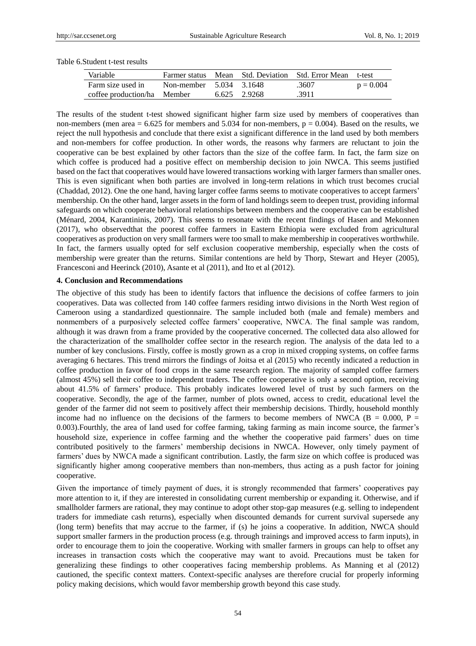| Variable                    |                         |       |        | Farmer status Mean Std. Deviation Std. Error Mean | t-test      |
|-----------------------------|-------------------------|-------|--------|---------------------------------------------------|-------------|
| Farm size used in           | Non-member 5.034 3.1648 |       |        | .3607                                             | $p = 0.004$ |
| coffee production/ha Member |                         | 6.625 | 2.9268 | .3911                                             |             |

Table 6.Student t-test results

The results of the student t-test showed significant higher farm size used by members of cooperatives than non-members (men area  $= 6.625$  for members and 5.034 for non-members,  $p = 0.004$ ). Based on the results, we reject the null hypothesis and conclude that there exist a significant difference in the land used by both members and non-members for coffee production. In other words, the reasons why farmers are reluctant to join the cooperative can be best explained by other factors than the size of the coffee farm. In fact, the farm size on which coffee is produced had a positive effect on membership decision to join NWCA. This seems justified based on the fact that cooperatives would have lowered transactions working with larger farmers than smaller ones. This is even significant when both parties are involved in long-term relations in which trust becomes crucial (Chaddad, 2012). One the one hand, having larger coffee farms seems to motivate cooperatives to accept farmers' membership. On the other hand, larger assets in the form of land holdings seem to deepen trust, providing informal safeguards on which cooperate behavioral relationships between members and the cooperative can be established (Ménard, 2004, Karantininis, 2007). This seems to resonate with the recent findings of Hasen and Mekonnen (2017), who observedthat the poorest coffee farmers in Eastern Ethiopia were excluded from agricultural cooperatives as production on very small farmers were too small to make membership in cooperatives worthwhile. In fact, the farmers usually opted for self exclusion cooperative membership, especially when the costs of membership were greater than the returns. Similar contentions are held by Thorp, Stewart and Heyer (2005), Francesconi and Heerinck (2010), Asante et al (2011), and Ito et al (2012).

## **4. Conclusion and Recommendations**

The objective of this study has been to identify factors that influence the decisions of coffee farmers to join cooperatives. Data was collected from 140 coffee farmers residing intwo divisions in the North West region of Cameroon using a standardized questionnaire. The sample included both (male and female) members and nonmembers of a purposively selected coffee farmers' cooperative, NWCA. The final sample was random, although it was drawn from a frame provided by the cooperative concerned. The collected data also allowed for the characterization of the smallholder coffee sector in the research region. The analysis of the data led to a number of key conclusions. Firstly, coffee is mostly grown as a crop in mixed cropping systems, on coffee farms averaging 6 hectares. This trend mirrors the findings of Joitsa et al (2015) who recently indicated a reduction in coffee production in favor of food crops in the same research region. The majority of sampled coffee farmers (almost 45%) sell their coffee to independent traders. The coffee cooperative is only a second option, receiving about 41.5% of farmers' produce. This probably indicates lowered level of trust by such farmers on the cooperative. Secondly, the age of the farmer, number of plots owned, access to credit, educational level the gender of the farmer did not seem to positively affect their membership decisions. Thirdly, household monthly income had no influence on the decisions of the farmers to become members of NWCA ( $B = 0.000$ ,  $P =$ 0.003).Fourthly, the area of land used for coffee farming, taking farming as main income source, the farmer's household size, experience in coffee farming and the whether the cooperative paid farmers' dues on time contributed positively to the farmers' membership decisions in NWCA. However, only timely payment of farmers' dues by NWCA made a significant contribution. Lastly, the farm size on which coffee is produced was significantly higher among cooperative members than non-members, thus acting as a push factor for joining cooperative.

Given the importance of timely payment of dues, it is strongly recommended that farmers' cooperatives pay more attention to it, if they are interested in consolidating current membership or expanding it. Otherwise, and if smallholder farmers are rational, they may continue to adopt other stop-gap measures (e.g. selling to independent traders for immediate cash returns), especially when discounted demands for current survival supersede any (long term) benefits that may accrue to the farmer, if (s) he joins a cooperative. In addition, NWCA should support smaller farmers in the production process (e.g. through trainings and improved access to farm inputs), in order to encourage them to join the cooperative. Working with smaller farmers in groups can help to offset any increases in transaction costs which the cooperative may want to avoid. Precautions must be taken for generalizing these findings to other cooperatives facing membership problems. As Manning et al (2012) cautioned, the specific context matters. Context-specific analyses are therefore crucial for properly informing policy making decisions, which would favor membership growth beyond this case study.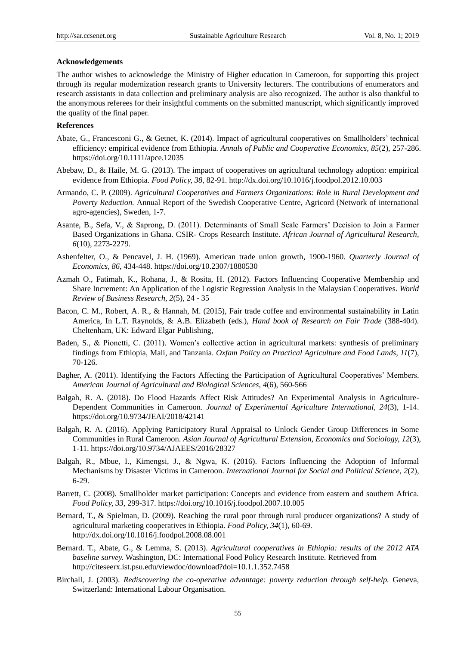## **Acknowledgements**

The author wishes to acknowledge the Ministry of Higher education in Cameroon, for supporting this project through its regular modernization research grants to University lecturers. The contributions of enumerators and research assistants in data collection and preliminary analysis are also recognized. The author is also thankful to the anonymous referees for their insightful comments on the submitted manuscript, which significantly improved the quality of the final paper.

# **References**

- Abate, G., Francesconi G., & Getnet, K. (2014). Impact of agricultural cooperatives on Smallholders' technical efficiency: empirical evidence from Ethiopia. *Annals of Public and Cooperative Economics, 85*(2), 257-286. https://doi.org/10.1111/apce.12035
- Abebaw, D., & Haile, M. G. (2013). The impact of cooperatives on agricultural technology adoption: empirical evidence from Ethiopia. *Food Policy, 38*, 82-91. http://dx.doi.org/10.1016/j.foodpol.2012.10.003
- Armando, C. P. (2009). *Agricultural Cooperatives and Farmers Organizations: Role in Rural Development and Poverty Reduction.* Annual Report of the Swedish Cooperative Centre, Agricord (Network of international agro-agencies), Sweden, 1-7.
- Asante, B., Sefa, V., & Saprong, D. (2011). Determinants of Small Scale Farmers' Decision to Join a Farmer Based Organizations in Ghana. CSIR- Crops Research Institute. *African Journal of Agricultural Research, 6*(10), 2273-2279.
- Ashenfelter, O., & Pencavel, J. H. (1969). American trade union growth, 1900-1960. *Quarterly Journal of Economics, 86*, 434-448. https://doi.org/10.2307/1880530
- Azmah O., Fatimah, K., Rohana, J., & Rosita, H. (2012). Factors Influencing Cooperative Membership and Share Increment: An Application of the Logistic Regression Analysis in the Malaysian Cooperatives. *World Review of Business Research, 2*(5), 24 - 35
- Bacon, C. M., Robert, A. R., & Hannah, M. (2015), Fair trade coffee and environmental sustainability in Latin America, In L.T. Raynolds, & A.B. Elizabeth (eds.), *Hand book of Research on Fair Trade* (388-404). Cheltenham, UK: Edward Elgar Publishing,
- Baden, S., & Pionetti, C. (2011). Women's collective action in agricultural markets: synthesis of preliminary findings from Ethiopia, Mali, and Tanzania. *Oxfam Policy on Practical Agriculture and Food Lands, 11*(7), 70-126.
- Bagher, A. (2011). Identifying the Factors Affecting the Participation of Agricultural Cooperatives' Members. *American Journal of Agricultural and Biological Sciences, 4*(6), 560-566
- Balgah, R. A. (2018). Do Flood Hazards Affect Risk Attitudes? An Experimental Analysis in Agriculture-Dependent Communities in Cameroon. *Journal of Experimental Agriculture International, 24*(3), 1-14. https://doi.org/10.9734/JEAI/2018/42141
- Balgah, R. A. (2016). Applying Participatory Rural Appraisal to Unlock Gender Group Differences in Some Communities in Rural Cameroon. *Asian Journal of Agricultural Extension, Economics and Sociology, 12*(3), 1-11. https://doi.org/10.9734/AJAEES/2016/28327
- Balgah, R., Mbue, I., Kimengsi, J., & Ngwa, K. (2016). Factors Influencing the Adoption of Informal Mechanisms by Disaster Victims in Cameroon. *International Journal for Social and Political Science, 2*(2), 6-29.
- Barrett, C. (2008). Smallholder market participation: Concepts and evidence from eastern and southern Africa. *Food Policy, 33*, 299-317. https://doi.org/10.1016/j.foodpol.2007.10.005
- Bernard, T., & Spielman, D. (2009). Reaching the rural poor through rural producer organizations? A study of agricultural marketing cooperatives in Ethiopia. *Food Policy, 34*(1), 60-69. http://dx.doi.org/10.1016/j.foodpol.2008.08.001
- Bernard. T., Abate, G., & Lemma, S. (2013). *Agricultural cooperatives in Ethiopia: results of the 2012 ATA baseline survey.* Washington, DC: International Food Policy Research Institute. Retrieved from http://citeseerx.ist.psu.edu/viewdoc/download?doi=10.1.1.352.7458
- Birchall, J. (2003). *Rediscovering the co-operative advantage: poverty reduction through self-help.* Geneva, Switzerland: International Labour Organisation.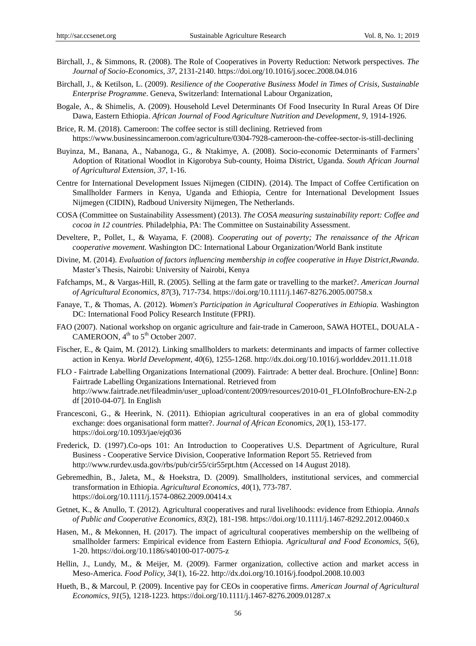- Birchall, J., & Simmons, R. (2008). The Role of Cooperatives in Poverty Reduction: Network perspectives. *The Journal of Socio-Economics, 37*, 2131-2140. https://doi.org/10.1016/j.socec.2008.04.016
- Birchall, J., & Ketilson, L. (2009). *Resilience of the Cooperative Business Model in Times of Crisis, Sustainable Enterprise Programme*. Geneva, Switzerland: International Labour Organization,
- Bogale, A., & Shimelis, A. (2009). Household Level Determinants Of Food Insecurity In Rural Areas Of Dire Dawa, Eastern Ethiopia. *African Journal of Food Agriculture Nutrition and Development, 9*, 1914-1926.
- Brice, R. M. (2018). Cameroon: The coffee sector is still declining. Retrieved from https://www.businessincameroon.com/agriculture/0304-7928-cameroon-the-coffee-sector-is-still-declining
- Buyinza, M., Banana, A., Nabanoga, G., & Ntakimye, A. (2008). Socio-economic Determinants of Farmers' Adoption of Ritational Woodlot in Kigorobya Sub-county, Hoima District, Uganda. *South African Journal of Agricultural Extension, 37*, 1-16.
- Centre for International Development Issues Nijmegen (CIDIN). (2014). The Impact of Coffee Certification on Smallholder Farmers in Kenya, Uganda and Ethiopia, Centre for International Development Issues Nijmegen (CIDIN), Radboud University Nijmegen, The Netherlands.
- COSA (Committee on Sustainability Assessment) (2013). *The COSA measuring sustainability report: Coffee and cocoa in 12 countries.* Philadelphia, PA: The Committee on Sustainability Assessment.
- Develtere, P., Pollet, I., & Wayama, F. (2008). *Cooperating out of poverty; The renaissance of the African cooperative movement.* Washington DC: International Labour Organization/World Bank institute
- Divine, M. (2014). *Evaluation of factors influencing membership in coffee cooperative in Huye District, Rwanda*. Master's Thesis, Nairobi: University of Nairobi, Kenya
- Fafchamps, M., & Vargas-Hill, R. (2005). Selling at the farm gate or travelling to the market?. *American Journal of Agricultural Economics, 87*(3), 717-734. https://doi.org/10.1111/j.1467-8276.2005.00758.x
- Fanaye, T., & Thomas, A. (2012). *Women's Participation in Agricultural Cooperatives in Ethiopia.* Washington DC: International Food Policy Research Institute (FPRI).
- FAO (2007). National workshop on organic agriculture and fair-trade in Cameroon, SAWA HOTEL, DOUALA CAMEROON,  $4^{th}$  to  $5^{th}$  October 2007.
- Fischer, E., & Qaim, M. (2012). Linking smallholders to markets: determinants and impacts of farmer collective action in Kenya. *World Development, 40*(6), 1255-1268. http://dx.doi.org/10.1016/j.worlddev.2011.11.018
- FLO Fairtrade Labelling Organizations International (2009). Fairtrade: A better deal. Brochure. [Online] Bonn: Fairtrade Labelling Organizations International. Retrieved from http://www.fairtrade.net/fileadmin/user\_upload/content/2009/resources/2010-01\_FLOInfoBrochure-EN-2.p df [2010-04-07]. In English
- Francesconi, G., & Heerink, N. (2011). Ethiopian agricultural cooperatives in an era of global commodity exchange: does organisational form matter?. *Journal of African Economics, 20*(1), 153-177. https://doi.org/10.1093/jae/ejq036
- Frederick, D. (1997).Co-ops 101: An Introduction to Cooperatives U.S. Department of Agriculture, Rural Business - Cooperative Service Division, Cooperative Information Report 55. Retrieved from http://www.rurdev.usda.gov/rbs/pub/cir55/cir55rpt.htm (Accessed on 14 August 2018).
- Gebremedhin, B., Jaleta, M., & Hoekstra, D. (2009). Smallholders, institutional services, and commercial transformation in Ethiopia. *Agricultural Economics, 40*(1), 773-787. https://doi.org/10.1111/j.1574-0862.2009.00414.x
- Getnet, K., & Anullo, T. (2012). Agricultural cooperatives and rural livelihoods: evidence from Ethiopia. *Annals of Public and Cooperative Economics, 83*(2), 181-198. https://doi.org/10.1111/j.1467-8292.2012.00460.x
- Hasen, M., & Mekonnen, H. (2017). The impact of agricultural cooperatives membership on the wellbeing of smallholder farmers: Empirical evidence from Eastern Ethiopia. *Agricultural and Food Economics, 5*(6), 1-20. https://doi.org/10.1186/s40100-017-0075-z
- Hellin, J., Lundy, M., & Meijer, M. (2009). Farmer organization, collective action and market access in Meso-America. *Food Policy, 34*(1), 16-22. http://dx.doi.org/10.1016/j.foodpol.2008.10.003
- Hueth, B., & Marcoul, P. (2009). Incentive pay for CEOs in cooperative firms. *American Journal of Agricultural Economics, 91*(5), 1218-1223. https://doi.org/10.1111/j.1467-8276.2009.01287.x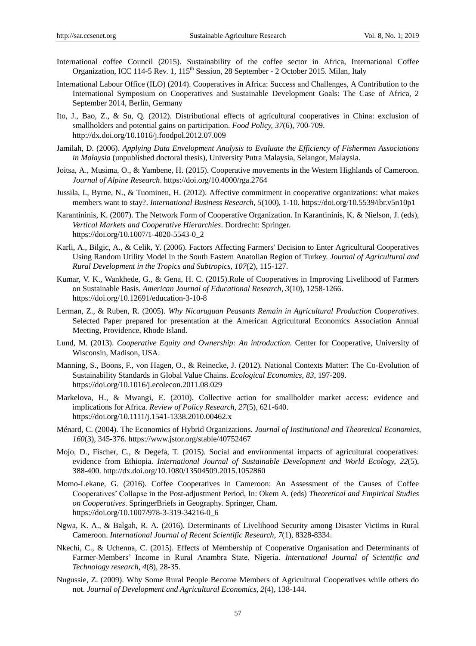- International coffee Council (2015). Sustainability of the coffee sector in Africa, International Coffee Organization, ICC 114-5 Rev. 1,  $115<sup>th</sup>$  Session, 28 September - 2 October 2015. Milan, Italy
- International Labour Office (ILO) (2014). Cooperatives in Africa: Success and Challenges, A Contribution to the International Symposium on Cooperatives and Sustainable Development Goals: The Case of Africa, 2 September 2014, Berlin, Germany
- Ito, J., Bao, Z., & Su, Q. (2012). Distributional effects of agricultural cooperatives in China: exclusion of smallholders and potential gains on participation. *Food Policy, 37*(6), 700-709. http://dx.doi.org/10.1016/j.foodpol.2012.07.009
- Jamilah, D. (2006). *Applying Data Envelopment Analysis to Evaluate the Efficiency of Fishermen Associations in Malaysia* (unpublished doctoral thesis), University Putra Malaysia, Selangor, Malaysia.
- Joitsa, A., Musima, O., & Yambene, H. (2015). Cooperative movements in the Western Highlands of Cameroon. *Journal of Alpine Research*. https://doi.org/10.4000/rga.2764
- Jussila, I., Byrne, N., & Tuominen, H. (2012). Affective commitment in cooperative organizations: what makes members want to stay?. *International Business Research, 5*(100), 1-10. https://doi.org/10.5539/ibr.v5n10p1
- Karantininis, K. (2007). The Network Form of Cooperative Organization. In Karantininis, K. & Nielson, J. (eds), *Vertical Markets and Cooperative Hierarchies*. Dordrecht: Springer. https://doi.org/10.1007/1-4020-5543-0\_2
- Karli, A., Bilgic, A., & Celik, Y. (2006). Factors Affecting Farmers' Decision to Enter Agricultural Cooperatives Using Random Utility Model in the South Eastern Anatolian Region of Turkey. *Journal of Agricultural and Rural Development in the Tropics and Subtropics, 107*(2), 115-127.
- Kumar, V. K., Wankhede, G., & Gena, H. C. (2015).Role of Cooperatives in Improving Livelihood of Farmers on Sustainable Basis. *American Journal of Educational Research, 3*(10), 1258-1266. https://doi.org/10.12691/education-3-10-8
- Lerman, Z., & Ruben, R. (2005). *Why Nicaruguan Peasants Remain in Agricultural Production Cooperatives*. Selected Paper prepared for presentation at the American Agricultural Economics Association Annual Meeting, Providence, Rhode Island.
- Lund, M. (2013). *Cooperative Equity and Ownership: An introduction.* Center for Cooperative, University of Wisconsin, Madison, USA.
- Manning, S., Boons, F., von Hagen, O., & Reinecke, J. (2012). National Contexts Matter: The Co-Evolution of Sustainability Standards in Global Value Chains. *Ecological Economics, 83*, 197-209. https://doi.org/10.1016/j.ecolecon.2011.08.029
- Markelova, H., & Mwangi, E. (2010). Collective action for smallholder market access: evidence and implications for Africa. *Review of Policy Research, 27*(5), 621-640. https://doi.org/10.1111/j.1541-1338.2010.00462.x
- Ménard, C. (2004). The Economics of Hybrid Organizations. *Journal of Institutional and Theoretical Economics, 160*(3), 345-376. https://www.jstor.org/stable/40752467
- Mojo, D., Fischer, C., & Degefa, T. (2015). Social and environmental impacts of agricultural cooperatives: evidence from Ethiopia. *International Journal of Sustainable Development and World Ecology, 22*(5), 388-400. http://dx.doi.org/10.1080/13504509.2015.1052860
- Momo-Lekane, G. (2016). Coffee Cooperatives in Cameroon: An Assessment of the Causes of Coffee Cooperatives' Collapse in the Post-adjustment Period, In: Okem A. (eds) *Theoretical and Empirical Studies on Cooperatives*. SpringerBriefs in Geography. Springer, Cham. https://doi.org/10.1007/978-3-319-34216-0\_6
- Ngwa, K. A., & Balgah, R. A. (2016). Determinants of Livelihood Security among Disaster Victims in Rural Cameroon. *International Journal of Recent Scientific Research, 7*(1), 8328-8334.
- Nkechi, C., & Uchenna, C. (2015). Effects of Membership of Cooperative Organisation and Determinants of Farmer-Members' Income in Rural Anambra State, Nigeria. *International Journal of Scientific and Technology research, 4*(8), 28-35.
- Nugussie, Z. (2009). Why Some Rural People Become Members of Agricultural Cooperatives while others do not. *Journal of Development and Agricultural Economics, 2*(4), 138-144.